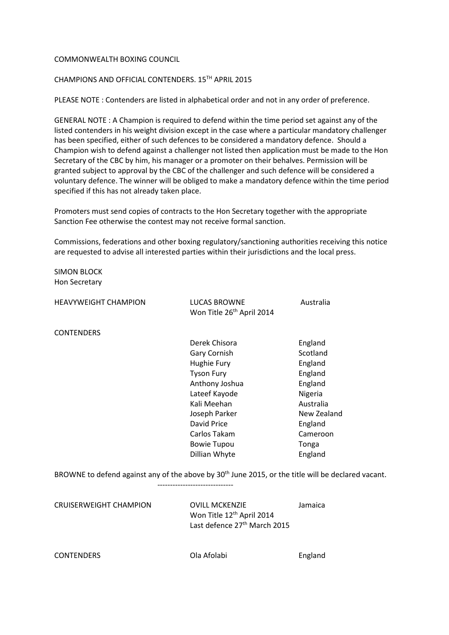## COMMONWEALTH BOXING COUNCIL

## CHAMPIONS AND OFFICIAL CONTENDERS. 15TH APRIL 2015

PLEASE NOTE : Contenders are listed in alphabetical order and not in any order of preference.

GENERAL NOTE : A Champion is required to defend within the time period set against any of the listed contenders in his weight division except in the case where a particular mandatory challenger has been specified, either of such defences to be considered a mandatory defence. Should a Champion wish to defend against a challenger not listed then application must be made to the Hon Secretary of the CBC by him, his manager or a promoter on their behalves. Permission will be granted subject to approval by the CBC of the challenger and such defence will be considered a voluntary defence. The winner will be obliged to make a mandatory defence within the time period specified if this has not already taken place.

Promoters must send copies of contracts to the Hon Secretary together with the appropriate Sanction Fee otherwise the contest may not receive formal sanction.

Commissions, federations and other boxing regulatory/sanctioning authorities receiving this notice are requested to advise all interested parties within their jurisdictions and the local press.

SIMON BLOCK Hon Secretary

| <b>HEAVYWEIGHT CHAMPION</b>                                                                                    | <b>LUCAS BROWNE</b>                   | Australia   |
|----------------------------------------------------------------------------------------------------------------|---------------------------------------|-------------|
|                                                                                                                | Won Title 26 <sup>th</sup> April 2014 |             |
| <b>CONTENDERS</b>                                                                                              |                                       |             |
|                                                                                                                | Derek Chisora                         | England     |
|                                                                                                                | Gary Cornish                          | Scotland    |
|                                                                                                                | Hughie Fury                           | England     |
|                                                                                                                | <b>Tyson Fury</b>                     | England     |
|                                                                                                                | Anthony Joshua                        | England     |
|                                                                                                                | Lateef Kayode                         | Nigeria     |
|                                                                                                                | Kali Meehan                           | Australia   |
|                                                                                                                | Joseph Parker                         | New Zealand |
|                                                                                                                | David Price                           | England     |
|                                                                                                                | Carlos Takam                          | Cameroon    |
|                                                                                                                | <b>Bowie Tupou</b>                    | Tonga       |
|                                                                                                                | Dillian Whyte                         | England     |
| BROWNE to defend against any of the above by 30 <sup>th</sup> June 2015, or the title will be declared vacant. |                                       |             |
|                                                                                                                |                                       |             |

| <b>OVILL MCKENZIE</b>                    | Jamaica |
|------------------------------------------|---------|
| Won Title 12 <sup>th</sup> April 2014    |         |
| Last defence 27 <sup>th</sup> March 2015 |         |
|                                          |         |

CONTENDERS Ola Afolabi England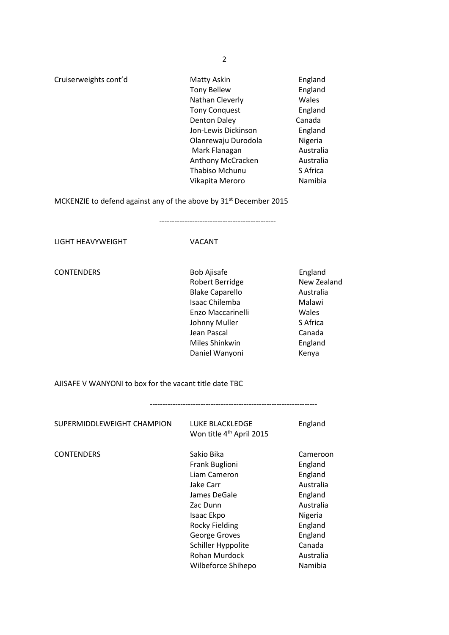Cruiserweights cont'd Matty Askin England Tony Bellew **England** Nathan Cleverly **Wales** Tony Conquest England Denton Daley Canada Jon-Lewis Dickinson England Olanrewaju Durodola Nigeria Mark Flanagan **Australia** Anthony McCracken Australia Thabiso Mchunu S Africa Vikapita Meroro Namibia

MCKENZIE to defend against any of the above by 31<sup>st</sup> December 2015

LIGHT HEAVYWEIGHT VACANT

----------------------------------------------

CONTENDERS Bob Ajisafe England Robert Berridge New Zealand Blake Caparello **Australia** Isaac Chilemba Malawi Enzo Maccarinelli Wales Johnny Muller Safrica Jean Pascal Canada Miles Shinkwin **England** Daniel Wanyoni Kenya

------------------------------------------------------------------

AJISAFE V WANYONI to box for the vacant title date TBC

| SUPERMIDDLEWEIGHT CHAMPION | LUKE BLACKLEDGE<br>Won title 4 <sup>th</sup> April 2015                                                                                                                                                    | England                                                                                                                                |
|----------------------------|------------------------------------------------------------------------------------------------------------------------------------------------------------------------------------------------------------|----------------------------------------------------------------------------------------------------------------------------------------|
| <b>CONTENDERS</b>          | Sakio Bika<br>Frank Buglioni<br>Liam Cameron<br>Jake Carr<br>James DeGale<br>Zac Dunn<br>Isaac Ekpo<br><b>Rocky Fielding</b><br>George Groves<br>Schiller Hyppolite<br>Rohan Murdock<br>Wilbeforce Shihepo | Cameroon<br>England<br>England<br>Australia<br>England<br>Australia<br>Nigeria<br>England<br>England<br>Canada<br>Australia<br>Namibia |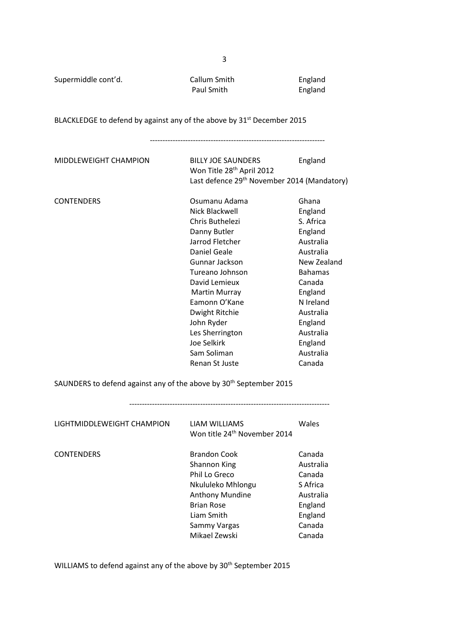Supermiddle cont'd. Callum Smith England

Paul Smith **England** 

BLACKLEDGE to defend by against any of the above by 31<sup>st</sup> December 2015

| MIDDLEWEIGHT CHAMPION                                                          | BILLY JOE SAUNDERS<br>Won Title 28 <sup>th</sup> April 2012 | England        |
|--------------------------------------------------------------------------------|-------------------------------------------------------------|----------------|
|                                                                                |                                                             |                |
|                                                                                | Last defence 29 <sup>th</sup> November 2014 (Mandatory)     |                |
| <b>CONTENDERS</b>                                                              | Osumanu Adama                                               | Ghana          |
|                                                                                | Nick Blackwell                                              | England        |
|                                                                                | Chris Buthelezi                                             | S. Africa      |
|                                                                                | Danny Butler                                                | England        |
|                                                                                | Jarrod Fletcher                                             | Australia      |
|                                                                                | <b>Daniel Geale</b>                                         | Australia      |
|                                                                                | Gunnar Jackson                                              | New Zealand    |
|                                                                                | Tureano Johnson                                             | <b>Bahamas</b> |
|                                                                                | David Lemieux                                               | Canada         |
|                                                                                | <b>Martin Murray</b>                                        | England        |
|                                                                                | Eamonn O'Kane                                               | N Ireland      |
|                                                                                | Dwight Ritchie                                              | Australia      |
|                                                                                | John Ryder                                                  | England        |
|                                                                                | Les Sherrington                                             | Australia      |
|                                                                                | Joe Selkirk                                                 | England        |
|                                                                                | Sam Soliman                                                 | Australia      |
|                                                                                | Renan St Juste                                              | Canada         |
| SAUNDERS to defend against any of the above by 30 <sup>th</sup> September 2015 |                                                             |                |
| LIGHTMIDDLEWEIGHT CHAMPION                                                     | LIAM WILLIAMS<br>Won title 24 <sup>th</sup> November 2014   | Wales          |

CONTENDERS Brandon Cook Canada Shannon King **Australia** Phil Lo Greco Canada Nkululeko Mhlongu S Africa Anthony Mundine **Australia** Brian Rose **England** Liam Smith **England** Sammy Vargas Canada Mikael Zewski Canada

WILLIAMS to defend against any of the above by 30<sup>th</sup> September 2015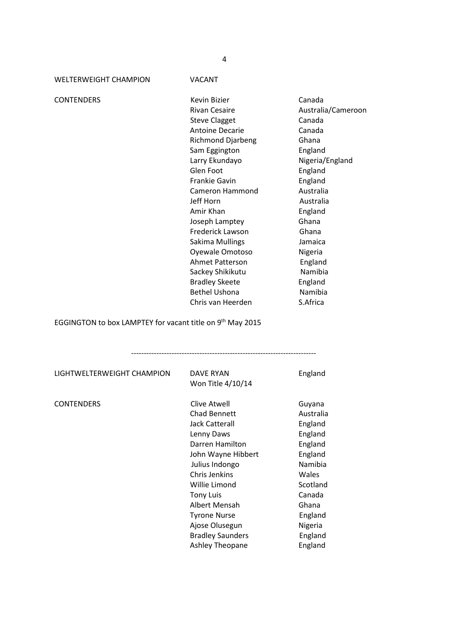WELTERWEIGHT CHAMPION VACANT

CONTENDERS Kevin Bizier Canada Rivan Cesaire **Australia/Cameroon** Steve Clagget Canada Antoine Decarie Canada Richmond Djarbeng Ghana Sam Eggington **England** Larry Ekundayo Nigeria/England Glen Foot **England** Frankie Gavin **England** Cameron Hammond Australia Jeff Horn Australia Amir Khan **England**  Joseph Lamptey Ghana Frederick Lawson Ghana Sakima Mullings **Jamaica** Oyewale Omotoso Nigeria Ahmet Patterson England Sackey Shikikutu Namibia Bradley Skeete England Bethel Ushona Namibia Chris van Heerden S.Africa

EGGINGTON to box LAMPTEY for vacant title on 9<sup>th</sup> May 2015

 ------------------------------------------------------------------------- LIGHTWELTERWEIGHT CHAMPION DAVE RYAN England Won Title 4/10/14 CONTENDERS Clive Atwell Guyana Chad Bennett Australia Jack Catterall **England** Lenny Daws **England** Darren Hamilton **England** John Wayne Hibbert England Julius Indongo Namibia Chris Jenkins Wales Willie Limond Scotland Tony Luis Canada Albert Mensah Ghana Tyrone Nurse **England** Ajose Olusegun Nigeria Bradley Saunders England Ashley Theopane England

4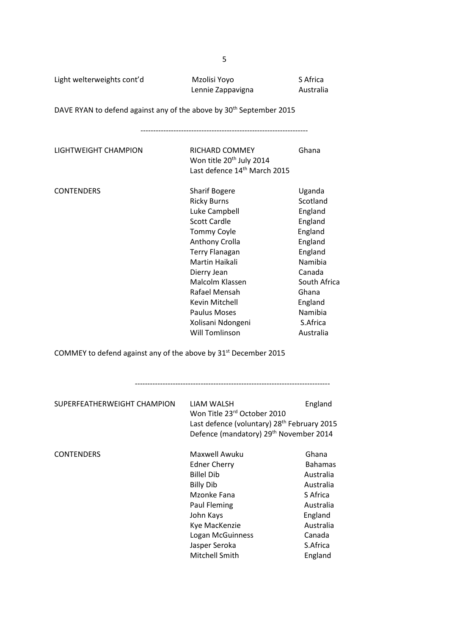Light welterweights cont'd Mzolisi Yoyo S Africa Lennie Zappavigna **Australia** 

DAVE RYAN to defend against any of the above by 30<sup>th</sup> September 2015

| LIGHTWEIGHT CHAMPION | RICHARD COMMEY<br>Won title 20 <sup>th</sup> July 2014<br>Last defence 14 <sup>th</sup> March 2015 | Ghana        |
|----------------------|----------------------------------------------------------------------------------------------------|--------------|
| <b>CONTENDERS</b>    | <b>Sharif Bogere</b>                                                                               | Uganda       |
|                      | <b>Ricky Burns</b>                                                                                 | Scotland     |
|                      | Luke Campbell                                                                                      | England      |
|                      | Scott Cardle                                                                                       | England      |
|                      | Tommy Coyle                                                                                        | England      |
|                      | Anthony Crolla                                                                                     | England      |
|                      | <b>Terry Flanagan</b>                                                                              | England      |
|                      | Martin Haikali                                                                                     | Namibia      |
|                      | Dierry Jean                                                                                        | Canada       |
|                      | Malcolm Klassen                                                                                    | South Africa |
|                      | Rafael Mensah                                                                                      | Ghana        |
|                      | Kevin Mitchell                                                                                     | England      |
|                      | <b>Paulus Moses</b>                                                                                | Namibia      |
|                      | Xolisani Ndongeni                                                                                  | S.Africa     |
|                      | Will Tomlinson                                                                                     | Australia    |

COMMEY to defend against any of the above by  $31^{st}$  December 2015

-----------------------------------------------------------------------------

| SUPERFEATHERWEIGHT CHAMPION | <b>LIAM WALSH</b><br>Won Title 23rd October 2010        | England        |
|-----------------------------|---------------------------------------------------------|----------------|
|                             | Last defence (voluntary) 28 <sup>th</sup> February 2015 |                |
|                             | Defence (mandatory) 29 <sup>th</sup> November 2014      |                |
| <b>CONTENDERS</b>           | Maxwell Awuku                                           | Ghana          |
|                             | <b>Edner Cherry</b>                                     | <b>Bahamas</b> |
|                             | <b>Billel Dib</b>                                       | Australia      |
|                             | <b>Billy Dib</b>                                        | Australia      |
|                             | Mzonke Fana                                             | S Africa       |
|                             | Paul Fleming                                            | Australia      |
|                             | John Kays                                               | England        |
|                             | Kye MacKenzie                                           | Australia      |
|                             | Logan McGuinness                                        | Canada         |
|                             | Jasper Seroka                                           | S.Africa       |
|                             | Mitchell Smith                                          | England        |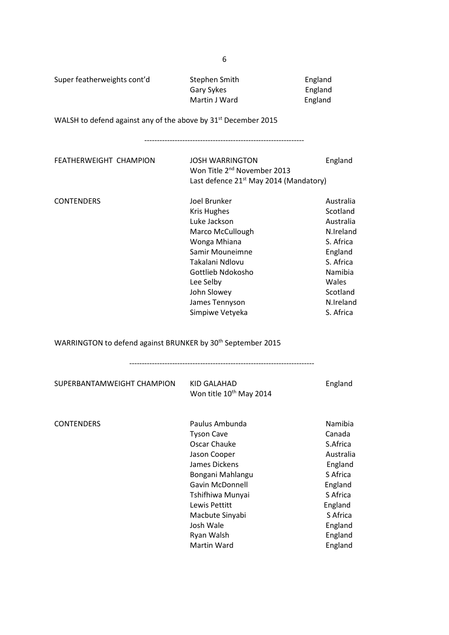Super featherweights cont'd Stephen Smith England<br>Gary Sykes England Gary Sykes England<br>Martin J Ward England Gary Sykes England Martin J Ward **England** 

WALSH to defend against any of the above by 31<sup>st</sup> December 2015

| FEATHERWEIGHT CHAMPION     | <b>JOSH WARRINGTON</b><br>Won Title 2 <sup>nd</sup> November 2013 | England   |
|----------------------------|-------------------------------------------------------------------|-----------|
|                            | Last defence 21 <sup>st</sup> May 2014 (Mandatory)                |           |
| <b>CONTENDERS</b>          | Joel Brunker                                                      | Australia |
|                            | <b>Kris Hughes</b>                                                | Scotland  |
|                            | Luke Jackson                                                      | Australia |
|                            | Marco McCullough                                                  | N.Ireland |
|                            | Wonga Mhiana                                                      | S. Africa |
|                            | Samir Mouneimne                                                   | England   |
|                            | Takalani Ndlovu                                                   | S. Africa |
|                            | Gottlieb Ndokosho                                                 | Namibia   |
|                            | Lee Selby                                                         | Wales     |
|                            | John Slowey                                                       | Scotland  |
|                            | James Tennyson                                                    | N.Ireland |
|                            | Simpiwe Vetyeka                                                   | S. Africa |
| SUPERBANTAMWEIGHT CHAMPION | <b>KID GALAHAD</b><br>Won title 10 <sup>th</sup> May 2014         | England   |
| <b>CONTENDERS</b>          |                                                                   | Namibia   |
|                            | Paulus Ambunda<br><b>Tyson Cave</b>                               | Canada    |
|                            | Oscar Chauke                                                      | S.Africa  |
|                            | Jason Cooper                                                      | Australia |
|                            | James Dickens                                                     | England   |
|                            | Bongani Mahlangu                                                  | S Africa  |
|                            | Gavin McDonnell                                                   | England   |
|                            | Tshifhiwa Munyai                                                  | S Africa  |
|                            | Lewis Pettitt                                                     | England   |
|                            | Macbute Sinyabi                                                   | S Africa  |
|                            | Josh Wale                                                         | England   |
|                            | Ryan Walsh                                                        | England   |
|                            | Martin Ward                                                       | England   |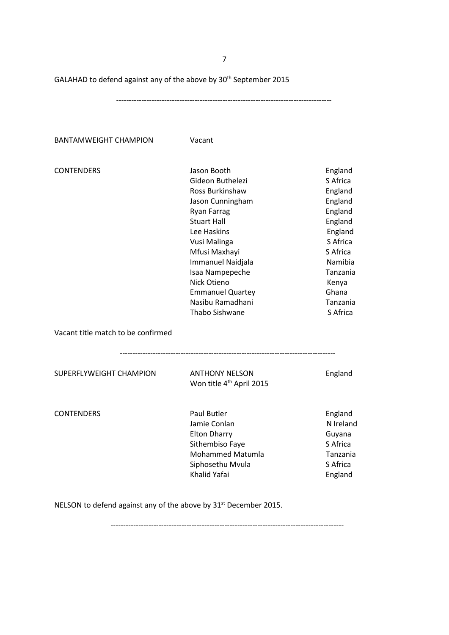7

GALAHAD to defend against any of the above by 30<sup>th</sup> September 2015

 ------------------------------------------------------------------------------------- BANTAMWEIGHT CHAMPION Vacant CONTENDERS Jason Booth England Gideon Buthelezi Safrica Ross Burkinshaw England Jason Cunningham **England**<br> **Ryan Farrag England** Ryan Farrag Stuart Hall **England** Lee Haskins **England** Vusi Malinga **Santia** Safrica Mfusi Maxhayi Safrica Immanuel Naidjala Namibia Isaa Nampepeche Tanzania Nick Otieno **Kenya** Emmanuel Quartey **Ghana** Nasibu Ramadhani Tanzania Thabo Sishwane Safrica Vacant title match to be confirmed ------------------------------------------------------------------------------------- SUPERFLYWEIGHT CHAMPION ANTHONY NELSON England Won title 4<sup>th</sup> April 2015 CONTENDERS Paul Butler Paul Butler England Jamie Conlan N Ireland Elton Dharry **Guyana** Sithembiso Fave SAfrica Mohammed Matumla Tanzania Siphosethu Mvula Siphosethu Mvula Khalid Yafai **England** 

NELSON to defend against any of the above by 31<sup>st</sup> December 2015.

--------------------------------------------------------------------------------------------